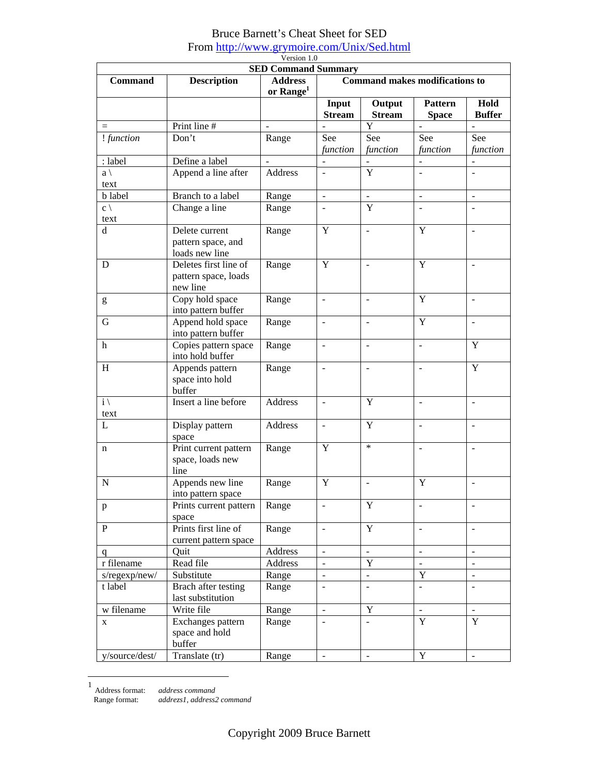## Bruce Barnett's Cheat Sheet for SED From http://www.grymoire.com/Unix/Sed.html

| Version 1.0           |                                                           |                                                                       |                                       |                          |                                |                          |
|-----------------------|-----------------------------------------------------------|-----------------------------------------------------------------------|---------------------------------------|--------------------------|--------------------------------|--------------------------|
| <b>Command</b>        | <b>Description</b>                                        | <b>SED Command Summary</b><br><b>Address</b><br>or Range <sup>1</sup> | <b>Command makes modifications to</b> |                          |                                |                          |
|                       |                                                           |                                                                       | Input<br><b>Stream</b>                | Output<br><b>Stream</b>  | <b>Pattern</b><br><b>Space</b> | Hold<br><b>Buffer</b>    |
| $=$                   | Print line #                                              |                                                                       |                                       | Y                        | $\overline{a}$                 |                          |
| ! function            | Don't                                                     | Range                                                                 | See<br>function                       | See<br>function          | See<br>function                | See<br>function          |
| : label               | Define a label                                            |                                                                       |                                       |                          | $\overline{a}$                 | $\overline{a}$           |
| $a \setminus$<br>text | Append a line after                                       | Address                                                               | $\blacksquare$                        | Y                        | $\blacksquare$                 | $\overline{a}$           |
| <b>b</b> label        | Branch to a label                                         | Range                                                                 | $\blacksquare$                        | $\overline{a}$           | $\overline{a}$                 | $\overline{a}$           |
| $c \setminus$<br>text | Change a line                                             | Range                                                                 | $\overline{\phantom{a}}$              | Y                        | $\blacksquare$                 | $\blacksquare$           |
| $\mathbf d$           | Delete current<br>pattern space, and<br>loads new line    |                                                                       | Y                                     | $\overline{a}$           | Y                              | $\blacksquare$           |
| D                     | Deletes first line of<br>pattern space, loads<br>new line | Range                                                                 | Y                                     | ÷,                       | Y                              | ÷,                       |
| g                     | Copy hold space<br>into pattern buffer                    |                                                                       | $\mathbf{r}$                          | $\overline{a}$           | Y                              | $\blacksquare$           |
| G                     | Append hold space<br>into pattern buffer                  | Range                                                                 | $\overline{\phantom{a}}$              | ÷,                       | Y                              | $\blacksquare$           |
| $\mathbf h$           | Copies pattern space<br>into hold buffer                  | Range                                                                 | $\blacksquare$                        | ÷,                       | $\overline{\phantom{a}}$       | Y                        |
| H                     | Appends pattern<br>space into hold<br>buffer              | Range                                                                 | $\Box$                                | ÷,                       | ÷,                             | Y                        |
| $i \setminus$<br>text | Insert a line before                                      |                                                                       | ÷,                                    | Y                        | $\blacksquare$                 | $\overline{a}$           |
| L                     | Display pattern<br>space                                  | Address                                                               | $\overline{\phantom{a}}$              | Y                        | $\blacksquare$                 | $\overline{a}$           |
| $\mathbf n$           | Print current pattern<br>space, loads new<br>line         | Range                                                                 | Y                                     | $\ast$                   | $\overline{a}$                 | $\overline{\phantom{a}}$ |
| N                     | Appends new line<br>into pattern space                    | Range                                                                 | Y                                     |                          | Y                              |                          |
| $\mathbf{p}$          | Prints current pattern<br>space                           | Range                                                                 |                                       | Y                        |                                |                          |
| $\mathbf{P}$          | Prints first line of<br>current pattern space             | Range                                                                 | $\overline{a}$                        | $\mathbf Y$              | $\Box$                         | $\equiv$                 |
| q                     | Quit                                                      | Address                                                               | $\mathbf{r}$                          | $\mathbf{r}$             | $\mathbb{L}^2$                 | $\mathbf{r}$             |
| r filename            | Read file                                                 | Address                                                               | $\mathbf{r}$                          | Y                        | $\mathbf{r}$                   | $\mathbf{r}$             |
| s/regexp/new/         | Substitute                                                | Range                                                                 | $\blacksquare$                        | $\overline{a}$           | $\mathbf Y$                    | $\mathbf{L}$             |
| t label               | Brach after testing<br>last substitution                  | Range                                                                 | $\overline{a}$                        | $\overline{a}$           | $\equiv$                       | $\equiv$                 |
| w filename            | Write file                                                | Range                                                                 | $\overline{\phantom{a}}$              | Y                        | $\blacksquare$                 | $\blacksquare$           |
| X                     | Exchanges pattern<br>space and hold<br>buffer             | Range                                                                 | $\blacksquare$                        | $\overline{\phantom{a}}$ | $\mathbf Y$                    | $\mathbf Y$              |
| y/source/dest/        | Translate (tr)<br>Range                                   |                                                                       | $\overline{\phantom{a}}$              | $\blacksquare$           | Y                              | $\blacksquare$           |

1 Address format: *address command*

Range format: *addrezs1*, *address2 command*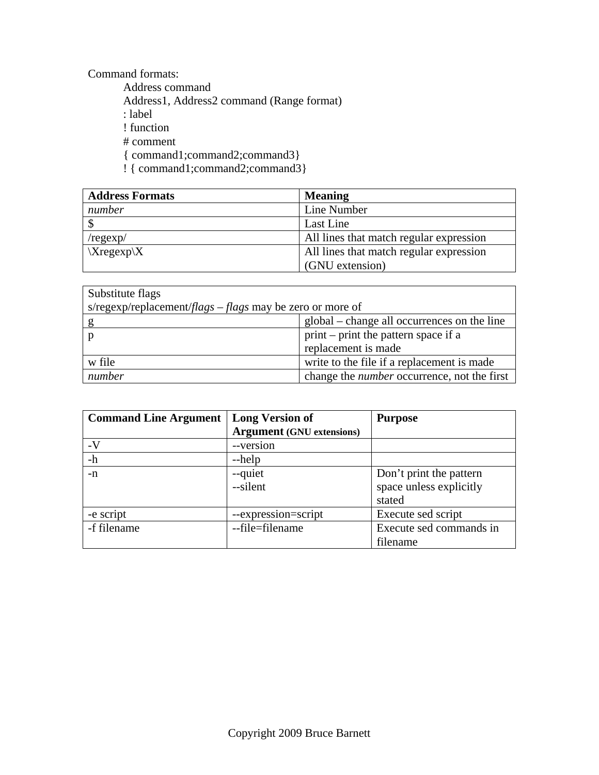Command formats:

 Address command Address1, Address2 command (Range format) : label ! function # comment { command1;command2;command3} ! { command1;command2;command3}

| <b>Address Formats</b> | <b>Meaning</b>                          |  |  |
|------------------------|-----------------------------------------|--|--|
| number                 | Line Number                             |  |  |
|                        | Last Line                               |  |  |
| /regexp/               | All lines that match regular expression |  |  |
| $Xregexp{X}$           | All lines that match regular expression |  |  |
|                        | (GNU extension)                         |  |  |

| Substitute flags                                                   |                                                    |  |  |  |
|--------------------------------------------------------------------|----------------------------------------------------|--|--|--|
| s/regexp/replacement/ <i>flags</i> $-flags$ may be zero or more of |                                                    |  |  |  |
|                                                                    | global – change all occurrences on the line        |  |  |  |
|                                                                    | print – print the pattern space if a               |  |  |  |
|                                                                    | replacement is made                                |  |  |  |
| w file                                                             | write to the file if a replacement is made         |  |  |  |
| number                                                             | change the <i>number</i> occurrence, not the first |  |  |  |

| <b>Command Line Argument</b> | <b>Long Version of</b>           | <b>Purpose</b>          |  |
|------------------------------|----------------------------------|-------------------------|--|
|                              | <b>Argument</b> (GNU extensions) |                         |  |
| $-V$                         | --version                        |                         |  |
| $-h$                         | --help                           |                         |  |
| -n                           | --quiet                          | Don't print the pattern |  |
|                              | --silent                         | space unless explicitly |  |
|                              |                                  | stated                  |  |
| -e script                    | --expression=script              | Execute sed script      |  |
| -f filename                  | --file=filename                  | Execute sed commands in |  |
|                              |                                  | filename                |  |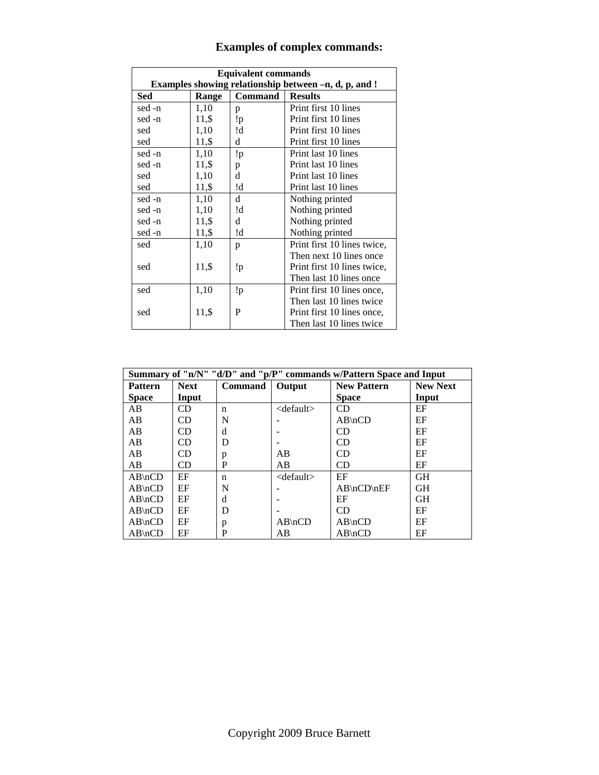| <b>Equivalent commands</b>                            |       |         |                             |  |
|-------------------------------------------------------|-------|---------|-----------------------------|--|
| Examples showing relationship between -n, d, p, and ! |       |         |                             |  |
| <b>Sed</b>                                            | Range | Command | <b>Results</b>              |  |
| sed -n                                                | 1,10  | p       | Print first 10 lines        |  |
| sed -n                                                | 11,\$ | !p      | Print first 10 lines        |  |
| sed                                                   | 1,10  | !d      | Print first 10 lines        |  |
| sed                                                   | 11,\$ | d       | Print first 10 lines        |  |
| sed -n                                                | 1,10  | !p      | Print last 10 lines         |  |
| sed -n                                                | 11,\$ | p       | Print last 10 lines         |  |
| sed                                                   | 1,10  | d       | Print last 10 lines         |  |
| sed                                                   | 11,\$ | !d      | Print last 10 lines         |  |
| sed -n                                                | 1,10  | d       | Nothing printed             |  |
| sed -n                                                | 1,10  | !d      | Nothing printed             |  |
| sed -n                                                | 11,\$ | d       | Nothing printed             |  |
| sed -n                                                | 11,\$ | !d      | Nothing printed             |  |
| sed                                                   | 1,10  | p       | Print first 10 lines twice, |  |
|                                                       |       |         | Then next 10 lines once     |  |
| sed                                                   | 11,\$ | !p      | Print first 10 lines twice, |  |
|                                                       |       |         | Then last 10 lines once     |  |
| sed                                                   | 1,10  | !p      | Print first 10 lines once,  |  |
|                                                       |       |         | Then last 10 lines twice    |  |
| sed                                                   | 11,\$ | P       | Print first 10 lines once,  |  |
|                                                       |       |         | Then last 10 lines twice    |  |

## **Examples of complex commands:**

| Summary of "n/N" "d/D" and "p/P" commands w/Pattern Space and Input |             |                |                 |                    |                 |
|---------------------------------------------------------------------|-------------|----------------|-----------------|--------------------|-----------------|
| <b>Pattern</b>                                                      | <b>Next</b> | <b>Command</b> | Output          | <b>New Pattern</b> | <b>New Next</b> |
| <b>Space</b>                                                        | Input       |                |                 | <b>Space</b>       | Input           |
| AB                                                                  | CD          | n              | $<$ default $>$ | CD                 | EF              |
| AB                                                                  | CD.         | N              |                 | $AB\nCD$           | EF              |
| AB                                                                  | CD          | d              |                 | CD                 | EF              |
| AB                                                                  | <b>CD</b>   | D              |                 | CD                 | EF              |
| AB                                                                  | CD          | p              | AB              | CD                 | EF              |
| AB                                                                  | <b>CD</b>   | P              | AB              | <b>CD</b>          | EF              |
| $AB\nCD$                                                            | EF          | n              | $<$ default $>$ | EF                 | <b>GH</b>       |
| $AB\nCD$                                                            | EF          | N              |                 | $AB\nCD\nE$        | <b>GH</b>       |
| $AB\nCD$                                                            | EF          | d              |                 | EF                 | <b>GH</b>       |
| $AB\nCD$                                                            | EF          | D              |                 | <b>CD</b>          | EF              |
| $AB\nCD$                                                            | EF          | p              | $AB\nCD$        | $AB\nCD$           | EF              |
| $AB\nCD$                                                            | EF          | P              | AB              | $AB\nCD$           | EF              |